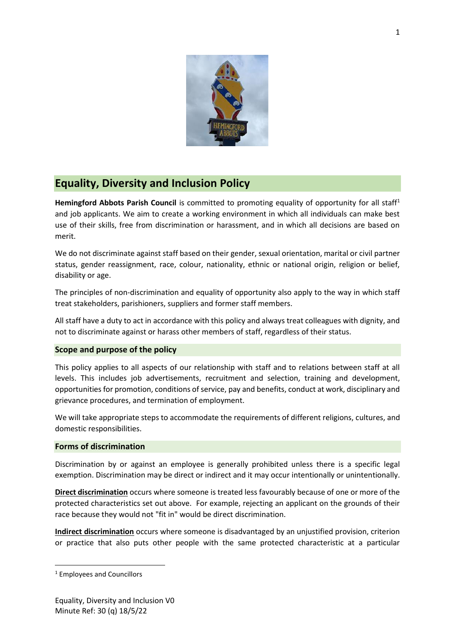

# **Equality, Diversity and Inclusion Policy**

**Hemingford Abbots Parish Council** is committed to promoting equality of opportunity for all staff<sup>1</sup> and job applicants. We aim to create a working environment in which all individuals can make best use of their skills, free from discrimination or harassment, and in which all decisions are based on merit.

We do not discriminate against staff based on their gender, sexual orientation, marital or civil partner status, gender reassignment, race, colour, nationality, ethnic or national origin, religion or belief, disability or age.

The principles of non-discrimination and equality of opportunity also apply to the way in which staff treat stakeholders, parishioners, suppliers and former staff members.

All staff have a duty to act in accordance with this policy and always treat colleagues with dignity, and not to discriminate against or harass other members of staff, regardless of their status.

## **Scope and purpose of the policy**

This policy applies to all aspects of our relationship with staff and to relations between staff at all levels. This includes job advertisements, recruitment and selection, training and development, opportunities for promotion, conditions of service, pay and benefits, conduct at work, disciplinary and grievance procedures, and termination of employment.

We will take appropriate steps to accommodate the requirements of different religions, cultures, and domestic responsibilities.

# **Forms of discrimination**

Discrimination by or against an employee is generally prohibited unless there is a specific legal exemption. Discrimination may be direct or indirect and it may occur intentionally or unintentionally.

**Direct discrimination** occurs where someone is treated less favourably because of one or more of the protected characteristics set out above. For example, rejecting an applicant on the grounds of their race because they would not "fit in" would be direct discrimination.

**Indirect discrimination** occurs where someone is disadvantaged by an unjustified provision, criterion or practice that also puts other people with the same protected characteristic at a particular

<sup>1</sup> Employees and Councillors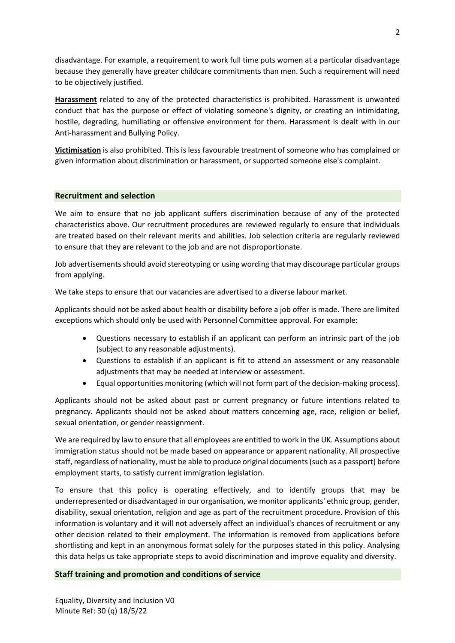disadvantage. For example, a requirement to work full time puts women at a particular disadvantage because they generally have greater childcare commitments than men. Such a requirement will need to be objectively justified.

**Harassment** related to any of the protected characteristics is prohibited. Harassment is unwanted conduct that has the purpose or effect of violating someone's dignity, or creating an intimidating, hostile, degrading, humiliating or offensive environment for them. Harassment is dealt with in our Anti-harassment and Bullying Policy.

**Victimisation** is also prohibited. This is less favourable treatment of someone who has complained or given information about discrimination or harassment, or supported someone else's complaint.

## **Recruitment and selection**

We aim to ensure that no job applicant suffers discrimination because of any of the protected characteristics above. Our recruitment procedures are reviewed regularly to ensure that individuals are treated based on their relevant merits and abilities. Job selection criteria are regularly reviewed to ensure that they are relevant to the job and are not disproportionate.

Job advertisements should avoid stereotyping or using wording that may discourage particular groups from applying.

We take steps to ensure that our vacancies are advertised to a diverse labour market.

Applicants should not be asked about health or disability before a job offer is made. There are limited exceptions which should only be used with Personnel Committee approval. For example:

- Questions necessary to establish if an applicant can perform an intrinsic part of the job (subject to any reasonable adjustments).
- Questions to establish if an applicant is fit to attend an assessment or any reasonable adjustments that may be needed at interview or assessment.
- Equal opportunities monitoring (which will not form part of the decision-making process).

Applicants should not be asked about past or current pregnancy or future intentions related to pregnancy. Applicants should not be asked about matters concerning age, race, religion or belief, sexual orientation, or gender reassignment.

We are required by law to ensure that all employees are entitled to work in the UK. Assumptions about immigration status should not be made based on appearance or apparent nationality. All prospective staff, regardless of nationality, must be able to produce original documents (such as a passport) before employment starts, to satisfy current immigration legislation.

To ensure that this policy is operating effectively, and to identify groups that may be underrepresented or disadvantaged in our organisation, we monitor applicants' ethnic group, gender, disability, sexual orientation, religion and age as part of the recruitment procedure. Provision of this information is voluntary and it will not adversely affect an individual's chances of recruitment or any other decision related to their employment. The information is removed from applications before shortlisting and kept in an anonymous format solely for the purposes stated in this policy. Analysing this data helps us take appropriate steps to avoid discrimination and improve equality and diversity.

## **Staff training and promotion and conditions of service**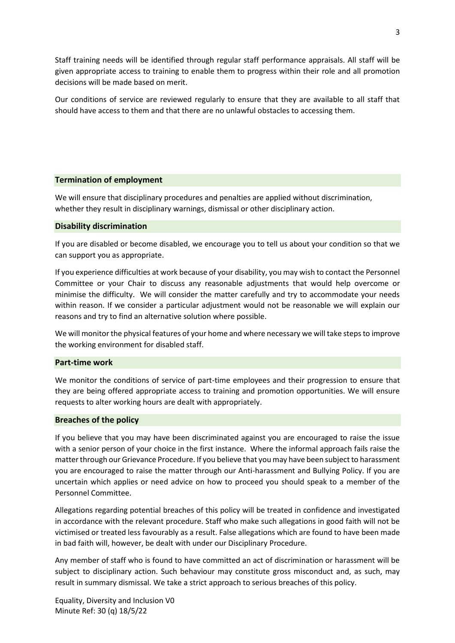Staff training needs will be identified through regular staff performance appraisals. All staff will be given appropriate access to training to enable them to progress within their role and all promotion decisions will be made based on merit.

Our conditions of service are reviewed regularly to ensure that they are available to all staff that should have access to them and that there are no unlawful obstacles to accessing them.

## **Termination of employment**

We will ensure that disciplinary procedures and penalties are applied without discrimination, whether they result in disciplinary warnings, dismissal or other disciplinary action.

#### **Disability discrimination**

If you are disabled or become disabled, we encourage you to tell us about your condition so that we can support you as appropriate.

If you experience difficulties at work because of your disability, you may wish to contact the Personnel Committee or your Chair to discuss any reasonable adjustments that would help overcome or minimise the difficulty. We will consider the matter carefully and try to accommodate your needs within reason. If we consider a particular adjustment would not be reasonable we will explain our reasons and try to find an alternative solution where possible.

We will monitor the physical features of your home and where necessary we will take steps to improve the working environment for disabled staff.

#### **Part-time work**

We monitor the conditions of service of part-time employees and their progression to ensure that they are being offered appropriate access to training and promotion opportunities. We will ensure requests to alter working hours are dealt with appropriately.

#### **Breaches of the policy**

If you believe that you may have been discriminated against you are encouraged to raise the issue with a senior person of your choice in the first instance. Where the informal approach fails raise the matter through our Grievance Procedure. If you believe that you may have been subject to harassment you are encouraged to raise the matter through our Anti-harassment and Bullying Policy. If you are uncertain which applies or need advice on how to proceed you should speak to a member of the Personnel Committee.

Allegations regarding potential breaches of this policy will be treated in confidence and investigated in accordance with the relevant procedure. Staff who make such allegations in good faith will not be victimised or treated less favourably as a result. False allegations which are found to have been made in bad faith will, however, be dealt with under our Disciplinary Procedure.

Any member of staff who is found to have committed an act of discrimination or harassment will be subject to disciplinary action. Such behaviour may constitute gross misconduct and, as such, may result in summary dismissal. We take a strict approach to serious breaches of this policy.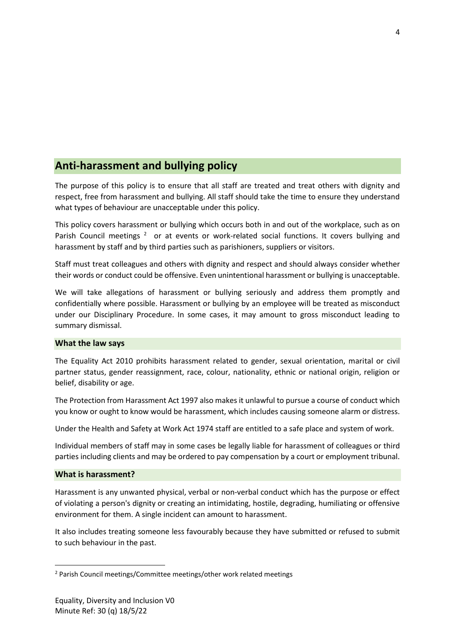# **Anti-harassment and bullying policy**

The purpose of this policy is to ensure that all staff are treated and treat others with dignity and respect, free from harassment and bullying. All staff should take the time to ensure they understand what types of behaviour are unacceptable under this policy.

This policy covers harassment or bullying which occurs both in and out of the workplace, such as on Parish Council meetings<sup>2</sup> or at events or work-related social functions. It covers bullying and harassment by staff and by third parties such as parishioners, suppliers or visitors.

Staff must treat colleagues and others with dignity and respect and should always consider whether their words or conduct could be offensive. Even unintentional harassment or bullying is unacceptable.

We will take allegations of harassment or bullying seriously and address them promptly and confidentially where possible. Harassment or bullying by an employee will be treated as misconduct under our Disciplinary Procedure. In some cases, it may amount to gross misconduct leading to summary dismissal.

## **What the law says**

The Equality Act 2010 prohibits harassment related to gender, sexual orientation, marital or civil partner status, gender reassignment, race, colour, nationality, ethnic or national origin, religion or belief, disability or age.

The Protection from Harassment Act 1997 also makes it unlawful to pursue a course of conduct which you know or ought to know would be harassment, which includes causing someone alarm or distress.

Under the Health and Safety at Work Act 1974 staff are entitled to a safe place and system of work.

Individual members of staff may in some cases be legally liable for harassment of colleagues or third parties including clients and may be ordered to pay compensation by a court or employment tribunal.

## **What is harassment?**

Harassment is any unwanted physical, verbal or non-verbal conduct which has the purpose or effect of violating a person's dignity or creating an intimidating, hostile, degrading, humiliating or offensive environment for them. A single incident can amount to harassment.

It also includes treating someone less favourably because they have submitted or refused to submit to such behaviour in the past.

<sup>&</sup>lt;sup>2</sup> Parish Council meetings/Committee meetings/other work related meetings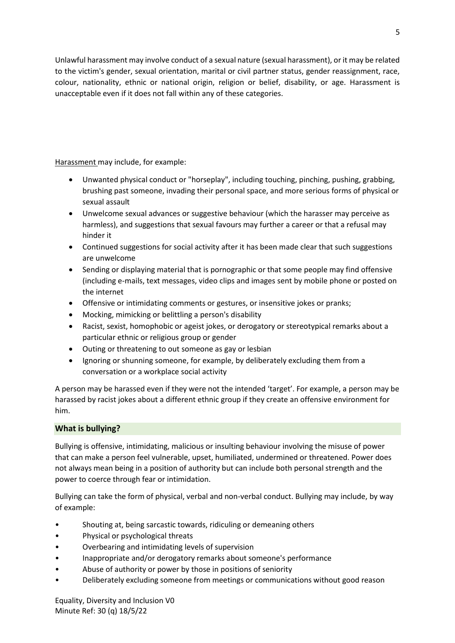Unlawful harassment may involve conduct of a sexual nature (sexual harassment), or it may be related to the victim's gender, sexual orientation, marital or civil partner status, gender reassignment, race, colour, nationality, ethnic or national origin, religion or belief, disability, or age. Harassment is unacceptable even if it does not fall within any of these categories.

Harassment may include, for example:

- Unwanted physical conduct or "horseplay", including touching, pinching, pushing, grabbing, brushing past someone, invading their personal space, and more serious forms of physical or sexual assault
- Unwelcome sexual advances or suggestive behaviour (which the harasser may perceive as harmless), and suggestions that sexual favours may further a career or that a refusal may hinder it
- Continued suggestions for social activity after it has been made clear that such suggestions are unwelcome
- Sending or displaying material that is pornographic or that some people may find offensive (including e-mails, text messages, video clips and images sent by mobile phone or posted on the internet
- Offensive or intimidating comments or gestures, or insensitive jokes or pranks;
- Mocking, mimicking or belittling a person's disability
- Racist, sexist, homophobic or ageist jokes, or derogatory or stereotypical remarks about a particular ethnic or religious group or gender
- Outing or threatening to out someone as gay or lesbian
- Ignoring or shunning someone, for example, by deliberately excluding them from a conversation or a workplace social activity

A person may be harassed even if they were not the intended 'target'. For example, a person may be harassed by racist jokes about a different ethnic group if they create an offensive environment for him.

# **What is bullying?**

Bullying is offensive, intimidating, malicious or insulting behaviour involving the misuse of power that can make a person feel vulnerable, upset, humiliated, undermined or threatened. Power does not always mean being in a position of authority but can include both personal strength and the power to coerce through fear or intimidation.

Bullying can take the form of physical, verbal and non-verbal conduct. Bullying may include, by way of example:

- Shouting at, being sarcastic towards, ridiculing or demeaning others
- Physical or psychological threats
- Overbearing and intimidating levels of supervision
- Inappropriate and/or derogatory remarks about someone's performance
- Abuse of authority or power by those in positions of seniority
- Deliberately excluding someone from meetings or communications without good reason

Equality, Diversity and Inclusion V0 Minute Ref: 30 (q) 18/5/22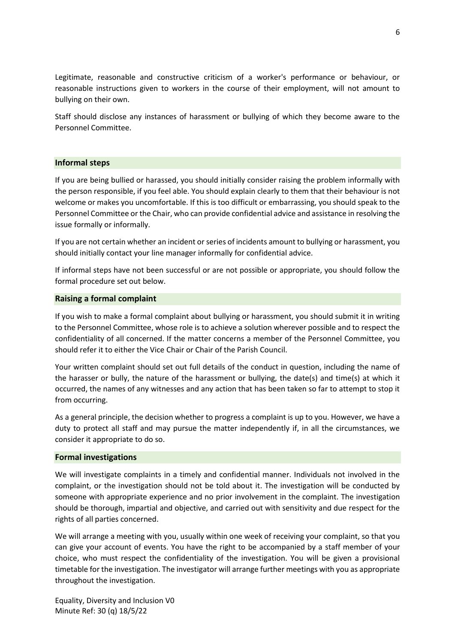Legitimate, reasonable and constructive criticism of a worker's performance or behaviour, or reasonable instructions given to workers in the course of their employment, will not amount to bullying on their own.

Staff should disclose any instances of harassment or bullying of which they become aware to the Personnel Committee.

#### **Informal steps**

If you are being bullied or harassed, you should initially consider raising the problem informally with the person responsible, if you feel able. You should explain clearly to them that their behaviour is not welcome or makes you uncomfortable. If this is too difficult or embarrassing, you should speak to the Personnel Committee or the Chair, who can provide confidential advice and assistance in resolving the issue formally or informally.

If you are not certain whether an incident or series of incidents amount to bullying or harassment, you should initially contact your line manager informally for confidential advice.

If informal steps have not been successful or are not possible or appropriate, you should follow the formal procedure set out below.

#### **Raising a formal complaint**

If you wish to make a formal complaint about bullying or harassment, you should submit it in writing to the Personnel Committee, whose role is to achieve a solution wherever possible and to respect the confidentiality of all concerned. If the matter concerns a member of the Personnel Committee, you should refer it to either the Vice Chair or Chair of the Parish Council.

Your written complaint should set out full details of the conduct in question, including the name of the harasser or bully, the nature of the harassment or bullying, the date(s) and time(s) at which it occurred, the names of any witnesses and any action that has been taken so far to attempt to stop it from occurring.

As a general principle, the decision whether to progress a complaint is up to you. However, we have a duty to protect all staff and may pursue the matter independently if, in all the circumstances, we consider it appropriate to do so.

#### **Formal investigations**

We will investigate complaints in a timely and confidential manner. Individuals not involved in the complaint, or the investigation should not be told about it. The investigation will be conducted by someone with appropriate experience and no prior involvement in the complaint. The investigation should be thorough, impartial and objective, and carried out with sensitivity and due respect for the rights of all parties concerned.

We will arrange a meeting with you, usually within one week of receiving your complaint, so that you can give your account of events. You have the right to be accompanied by a staff member of your choice, who must respect the confidentiality of the investigation. You will be given a provisional timetable for the investigation. The investigator will arrange further meetings with you as appropriate throughout the investigation.

Equality, Diversity and Inclusion V0 Minute Ref: 30 (q) 18/5/22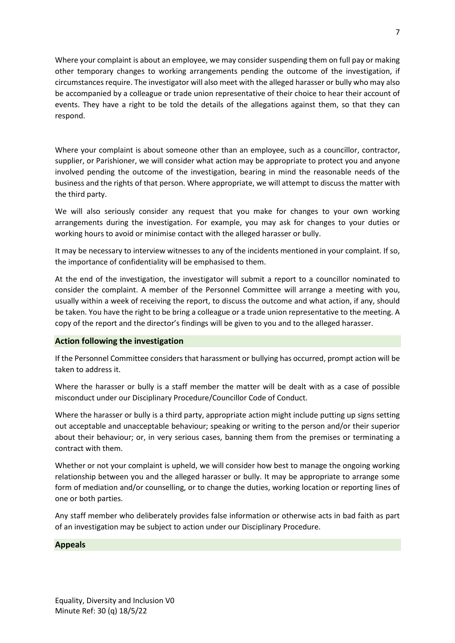Where your complaint is about an employee, we may consider suspending them on full pay or making other temporary changes to working arrangements pending the outcome of the investigation, if circumstances require. The investigator will also meet with the alleged harasser or bully who may also be accompanied by a colleague or trade union representative of their choice to hear their account of events. They have a right to be told the details of the allegations against them, so that they can respond.

Where your complaint is about someone other than an employee, such as a councillor, contractor, supplier, or Parishioner, we will consider what action may be appropriate to protect you and anyone involved pending the outcome of the investigation, bearing in mind the reasonable needs of the business and the rights of that person. Where appropriate, we will attempt to discuss the matter with the third party.

We will also seriously consider any request that you make for changes to your own working arrangements during the investigation. For example, you may ask for changes to your duties or working hours to avoid or minimise contact with the alleged harasser or bully.

It may be necessary to interview witnesses to any of the incidents mentioned in your complaint. If so, the importance of confidentiality will be emphasised to them.

At the end of the investigation, the investigator will submit a report to a councillor nominated to consider the complaint. A member of the Personnel Committee will arrange a meeting with you, usually within a week of receiving the report, to discuss the outcome and what action, if any, should be taken. You have the right to be bring a colleague or a trade union representative to the meeting. A copy of the report and the director's findings will be given to you and to the alleged harasser.

# **Action following the investigation**

If the Personnel Committee considers that harassment or bullying has occurred, prompt action will be taken to address it.

Where the harasser or bully is a staff member the matter will be dealt with as a case of possible misconduct under our Disciplinary Procedure/Councillor Code of Conduct.

Where the harasser or bully is a third party, appropriate action might include putting up signs setting out acceptable and unacceptable behaviour; speaking or writing to the person and/or their superior about their behaviour; or, in very serious cases, banning them from the premises or terminating a contract with them.

Whether or not your complaint is upheld, we will consider how best to manage the ongoing working relationship between you and the alleged harasser or bully. It may be appropriate to arrange some form of mediation and/or counselling, or to change the duties, working location or reporting lines of one or both parties.

Any staff member who deliberately provides false information or otherwise acts in bad faith as part of an investigation may be subject to action under our Disciplinary Procedure.

# **Appeals**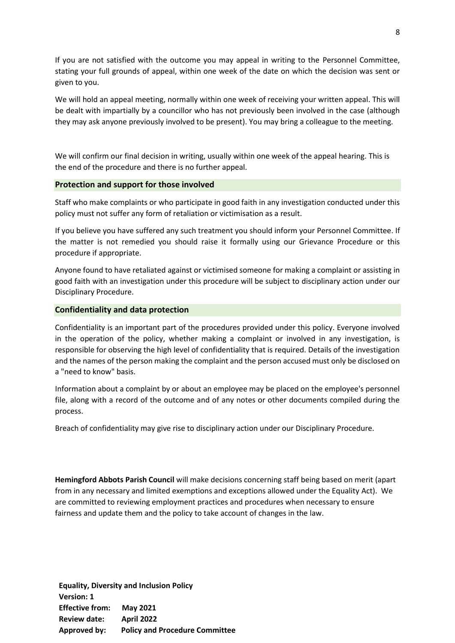If you are not satisfied with the outcome you may appeal in writing to the Personnel Committee, stating your full grounds of appeal, within one week of the date on which the decision was sent or given to you.

We will hold an appeal meeting, normally within one week of receiving your written appeal. This will be dealt with impartially by a councillor who has not previously been involved in the case (although they may ask anyone previously involved to be present). You may bring a colleague to the meeting.

We will confirm our final decision in writing, usually within one week of the appeal hearing. This is the end of the procedure and there is no further appeal.

#### **Protection and support for those involved**

Staff who make complaints or who participate in good faith in any investigation conducted under this policy must not suffer any form of retaliation or victimisation as a result.

If you believe you have suffered any such treatment you should inform your Personnel Committee. If the matter is not remedied you should raise it formally using our Grievance Procedure or this procedure if appropriate.

Anyone found to have retaliated against or victimised someone for making a complaint or assisting in good faith with an investigation under this procedure will be subject to disciplinary action under our Disciplinary Procedure.

## **Confidentiality and data protection**

Confidentiality is an important part of the procedures provided under this policy. Everyone involved in the operation of the policy, whether making a complaint or involved in any investigation, is responsible for observing the high level of confidentiality that is required. Details of the investigation and the names of the person making the complaint and the person accused must only be disclosed on a "need to know" basis.

Information about a complaint by or about an employee may be placed on the employee's personnel file, along with a record of the outcome and of any notes or other documents compiled during the process.

Breach of confidentiality may give rise to disciplinary action under our Disciplinary Procedure.

**Hemingford Abbots Parish Council** will make decisions concerning staff being based on merit (apart from in any necessary and limited exemptions and exceptions allowed under the Equality Act). We are committed to reviewing employment practices and procedures when necessary to ensure fairness and update them and the policy to take account of changes in the law.

VEISION. I<br>  $\overline{a}$ **Effective from: May 2021 Equality, Diversity and Inclusion Policy Version: 1 Review date: April 2022 Approved by: Policy and Procedure Committee**